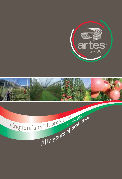



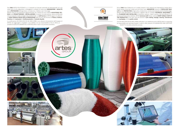Dal **1966** ARTES POLITECNICA s.r.l. è presente sul mercato nazionale ed internazionale con una vasta serie di reti antigrandine, ombreggianti e antiafidi di indiscussa **INNOVAZIONE** e **QUALITÀ** per la PROTEZIONE dell'agricoltura, la zootecnica, l'edilizia e per il bricolage.

GANCI A W W SHAPED HOOKS

FUNE IN ACCIAIO ZINCO E ALLUMINIO ZINCO E ALLUMINIO ZINCO E ALLUMINIO ZINCO E ALLUMINIO ZINCO E ALLUMINIO ZINC STEEL, ZINC AND ALUMINIUM ROPERTY AND

POLECOVER FOR CONCRETE POLECOVER

**COPY AND INTERNATIONAL CONTRACTOR** 

TUBO AGRICOLO EXTRA VIA TUBE TIE EXTRA Ø 2/8 mm

TUBO PLASTICO **PLASTICO** PLASTIC TIE Ø 2/3/4/5 mm

CONTENITORE PORTA GOMITOLOGI ROLL HOLDER POUGH

PALI IN CEMENTO PRECOMPRESSO / PRE-STRESSED CONCRETE POLES Sezioni / Sections: 5x5 / 7x7 / 7x8,5 / 7x8 / 8,5x8,5 / 9x9,5 / 13x14 / 13x14 / 13x14 / 13x14 / 13x14 / 13x14

**TUBICING PERSONAL PERSONAL PROPERTY AND PROPERTY AND PROPERTY AND PROPERTY AND PROPERTY AND PROPERTY AND PROPERTY** 

ARTES vanta di una esperienza trigenerazionale che, insieme ad una costante **ASSISTENZA TEC-NICA** nella **PROGETTAZIONE** e **INSTALLAZIONE** di impianti, la rende precisa, veloce ed efficiente nel suo supporto e nella consegna del prodotto finale. Lo **staff tecnico** di ARTES segue con attenzione **OGNI SINGOLO PASSO DELLA PRODUZIONE** delle sue reti, dal processo di **Filatura**, **Orditura**, **Tessitura** alle **Lavorazioni** e **Confezionamento** al **Controllo Qualità**.

La certificazione ISO 9001/UNI EN ISO 9001:2008 è una ulteriore dimostrazione dell'impegno di ARTES nel raggiungere e rispettare i suoi obiettivi e le sue responsabilità al fine di offrire un prodotto di QUALITA' GARANTITA e CONTROLLATA in tutto il suo processo produttivo.

GROUP

**®**

Since **1966** Artes Politecnica srl is widely present in the national and international market with a broad variety of anti-hail, shade and anti-insect nets; **INNOVATIVE** products of **EXCELLENT QUA-LITY** for the **PROTECTION** of Agriculture, Zootechnics, Construction Industry and for the Bricolage. ARTES' three generations of experience, together with its constant **TECHNICAL ASSISTANCE** in the **PLANNING AND INSTALLING** of protection systems, make it precise, fast and efficient in its service and final product delivery. ARTES **technical staff** follows carefully **EVERY SINGLE STEP OF THE PRODUCTIO**N of its nets, from the process of **yarn making**, **warpage**, **weaving**, **manufacture** and **packaging**, to the **quality control**.

The ISO 9001/UNI EN ISO 9001:2008 certification is an additional proof of ARTES effort in respecting its responsibility and reaching its goals in order to offer products of GUARANTEED AND CERTIFIED QUALITY in its whole productive process.









ACCESSORI PER IMPIANTI / ACCESSORIES FOR INSTALLATIONS

TIRANTI PER ANCORAGGI TIGHTNERS FOR ANCHORAGES

Copyright Corp. VENTED POLE COVER COPRIPALIZATION COPYRIGHT - FIRSTFIX - FIRSTFIX - FIRSTFIX - FIRSTFIX - FIRSTFIX - FIRSTFIX - FIRSTFIX - FIRSTFIX - FIRSTFIX - FIRSTFIX - FIRSTFIX - FIRSTFIX - FIRSTFIX - FIRSTFIX - FIRSTFIX - FIRSTFIX - FIRSTFIX - FIRSTFI

**ELASTICO E MOSCHETTONI / ELASTICO E MOSCHETTONI / EL**ASTICO E MOSCHETTONI / ELASTICO E MOSCHETTONI / ELASTICO E MOSCHETTONI / ELASTICO E MOSCHETTONI / ELASTICO E MOSCHETTONI / ELASTICO E MOSCHETTONI / ELASTICO E MOSCHETTO

PIATTINA VERDE CON FILO METALLICO RICOPERTO GREEN PLASTIC-COATED

ANCHORAGE WITH HESAGONAL HELIX

ANCHORAGE RAMBO

COPRIPALO FIRSTFIX FIRSTFIX POLE COVER COPRIPALO PER PALI IN LEGNO POLE COVER FOR WOODEN POLES

BASE CEMENTO PER ANCORAGGIO CONCRETE BASES FOR ANCHORAGE

STAFFA IN PARTIES OF THE REAL PROPERTY. BRACKET FOR CONCRETE POLES

MOSCHETTONI RAPIDI RAPID SNAPHOOKS

**PALI CEMENTO / CONCRETE POLICIA ANTI-SFONDAMENTO / CONCRETE POLICIA ANTI-SFONDAMENTO / ANTI-SFONDAMENTO / ANTI-SFONDAMENTO / ANTI-SFONDAMENTO / ANTI-SFONDAMENTO / ANTI-SFONDAMENTO / ANTI-SFONDAMENTO / ANTI-SFONDAMENTO / A** 

**FUNISHER AND TIME IN THE STATE OF THE STATE OF THE STATE OF THE STATE OF THE STATE OF THE STATE OF THE STATE OF THE STATE OF THE STATE OF THE STATE OF THE STATE OF THE STATE OF THE STATE OF THE STATE OF THE STATE OF THE S** 

CORDA ELASTICA NERA Ø 8 mm BLACK ELASTIC ROPE Ø 8 mm

**ANELLI / RINGS**

ANELLI IN ACCIAIO PER RETE IRON RINGS FOR THE NET

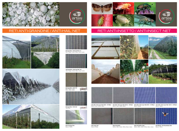**Anti-grandine / Anti-hail Logica** and r Total Grey



**Anti-afidi / Anti-insect Net 20/10 - 50 Mesh** Bianco, Nero / White, Black



# RETI ANTI-GRANDINE / ANTI-HAIL NET













**Anti-grandine / Anti-hail Net 7x3** Nero, Grigio, Cristal / Black, Grey, Crystal



**Anti-grandine / Anti-hail**<br>Nero, Grigio, Cristal<br>Black, Grey, Crystal





**Anti-grandine / Anti-hail Net 3,2** Nero, Grigio, Cristal / Black, Grey, Crystal

**Anti-Cracking Film** Bianco / White

# RETI ANTI-INSETTO / ANTI-INSECT NET









**Anti-afidi / Anti-insect Net 20/12 - 55 Mesh** Bianco, Nero / White, Black



**Anti-afidi / Anti-insect Net 8/10 - 40 Mesh**



Bianco / White





**Anti-afidi / Anti-insect Net 16/10 - 25 Mesh** Bianco / White

**Anti-carpo 4x4** Bianco / White

**Stop-drosophila** Bianco, Nero, Verde / White, Black, Green **Stop-drosophila super** Bianco, Nero, Verde / White, Black, Green



**Anti Bombi / Anti Bumblebee Net** Bianco / White



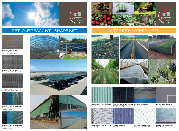**Rete per Pacciamatura / Ground cover net** Nero, Verde, Marrone, Bianco Black, Green, Brown, White **Rete per Pacciamatura / Ground cover net**<br>Nero, Verde, Marrone, Bianco<br>Black, Green, Brown, White



**Rete raccolta olive / Olive harvesting net Rete raccolta olive / Olive harvesting net** Verde / Green Verde / Green

### ALTRE RETI / OTHER NETS ALTRE RETI / OTHER NETS

**Rete Acqua Stop / Acqua Stop net Rete Acqua Stop / Acqua Stop net** Bianco / White Bianco / White



**Telo Acqua Stop / Acqua Stop Film Telo Acqua Stop / Acqua Stop Film** Bianco / White Bianco / White

**Rete lumaca / Snail farming net** Bianco, Nero / White, Black **Rete lumaca / Snail farming net** Bianco, Nero / White, Black



**Rete anti uccelli / Knitted bird net Rete anti uccelli / Knitted bird net** Bianco, Nero, Verde / White, Black, Green Bianco, Nero, Verde / White, Black, Green



**Nastro di sostegno / Support strip EXTRA Rete brina / Anti frost net Nastro di sostegno / Support strip EXTRA Rete brina / Anti frost net** Bianco / White Bianco / White



Bianco / White Bianco / White





## RETI OMBREGGIANTI / SHADE NET RETI OMBREGGIANTI / SHADE NET



**Ombreggiante / Shade Net 30% Ombreggiante / Shade Net 30%** Nero, Verde / Black, Green Nero, Verde / Black, Green Bianco, Cristal / White, Crystal Bianco, Cristal / White, Crystal



**Ombreggiante / Shade Net 50%** Nero, Verde, Bianco / Black, Green, White **Ombreggiante / Shade Net 50%** Nero, Verde, Bianco / Black, Green, White



**Ombreggiante / Shade Net 75% Ombreggiante / Shade Net 75%** Nero, Verde, Bianco / Black, Green, White Nero, Verde, Bianco / Black, Green, White



**Ombreggiante / Shade Net 90% Camping** Nero, Verde / Black, Green Blu, Grigio / Blue, Grey Blu, Grigio / Blue, Grey **Ombreggiante / Shade Net 90% Camping** Nero, Verde / Black, Green



**Ombreggiante / Shade Net 90% Diagonale Ombreggiante / Shade Net 90% Diagonale** Nero, Verde / Black, Green Blu, Grigio / Blue, Grey Nero, Verde / Black, Green Blu, Grigio / Blue, Grey